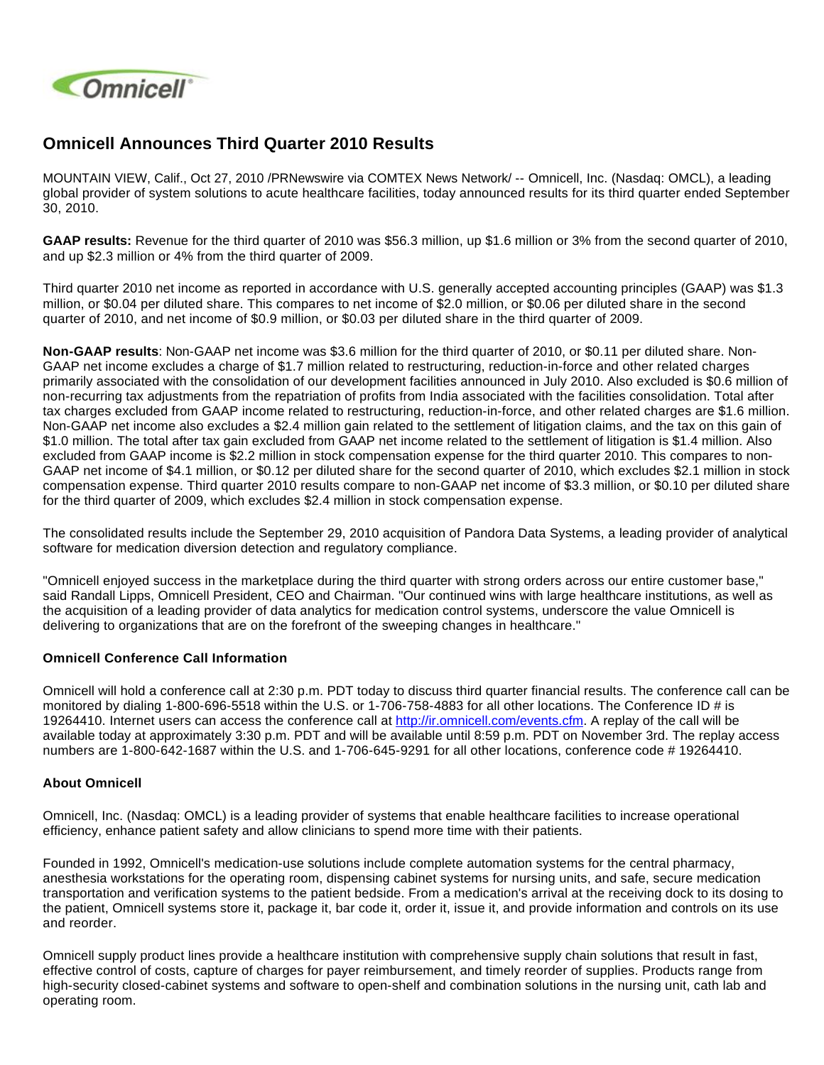

# **Omnicell Announces Third Quarter 2010 Results**

MOUNTAIN VIEW, Calif., Oct 27, 2010 /PRNewswire via COMTEX News Network/ -- Omnicell, Inc. (Nasdaq: OMCL), a leading global provider of system solutions to acute healthcare facilities, today announced results for its third quarter ended September 30, 2010.

**GAAP results:** Revenue for the third quarter of 2010 was \$56.3 million, up \$1.6 million or 3% from the second quarter of 2010, and up \$2.3 million or 4% from the third quarter of 2009.

Third quarter 2010 net income as reported in accordance with U.S. generally accepted accounting principles (GAAP) was \$1.3 million, or \$0.04 per diluted share. This compares to net income of \$2.0 million, or \$0.06 per diluted share in the second quarter of 2010, and net income of \$0.9 million, or \$0.03 per diluted share in the third quarter of 2009.

**Non-GAAP results**: Non-GAAP net income was \$3.6 million for the third quarter of 2010, or \$0.11 per diluted share. Non-GAAP net income excludes a charge of \$1.7 million related to restructuring, reduction-in-force and other related charges primarily associated with the consolidation of our development facilities announced in July 2010. Also excluded is \$0.6 million of non-recurring tax adjustments from the repatriation of profits from India associated with the facilities consolidation. Total after tax charges excluded from GAAP income related to restructuring, reduction-in-force, and other related charges are \$1.6 million. Non-GAAP net income also excludes a \$2.4 million gain related to the settlement of litigation claims, and the tax on this gain of \$1.0 million. The total after tax gain excluded from GAAP net income related to the settlement of litigation is \$1.4 million. Also excluded from GAAP income is \$2.2 million in stock compensation expense for the third quarter 2010. This compares to non-GAAP net income of \$4.1 million, or \$0.12 per diluted share for the second quarter of 2010, which excludes \$2.1 million in stock compensation expense. Third quarter 2010 results compare to non-GAAP net income of \$3.3 million, or \$0.10 per diluted share for the third quarter of 2009, which excludes \$2.4 million in stock compensation expense.

The consolidated results include the September 29, 2010 acquisition of Pandora Data Systems, a leading provider of analytical software for medication diversion detection and regulatory compliance.

"Omnicell enjoyed success in the marketplace during the third quarter with strong orders across our entire customer base," said Randall Lipps, Omnicell President, CEO and Chairman. "Our continued wins with large healthcare institutions, as well as the acquisition of a leading provider of data analytics for medication control systems, underscore the value Omnicell is delivering to organizations that are on the forefront of the sweeping changes in healthcare."

#### **Omnicell Conference Call Information**

Omnicell will hold a conference call at 2:30 p.m. PDT today to discuss third quarter financial results. The conference call can be monitored by dialing 1-800-696-5518 within the U.S. or 1-706-758-4883 for all other locations. The Conference ID # is 19264410. Internet users can access the conference call at [http://ir.omnicell.com/events.cfm.](http://ir.omnicell.com/events.cfm) A replay of the call will be available today at approximately 3:30 p.m. PDT and will be available until 8:59 p.m. PDT on November 3rd. The replay access numbers are 1-800-642-1687 within the U.S. and 1-706-645-9291 for all other locations, conference code # 19264410.

#### **About Omnicell**

Omnicell, Inc. (Nasdaq: OMCL) is a leading provider of systems that enable healthcare facilities to increase operational efficiency, enhance patient safety and allow clinicians to spend more time with their patients.

Founded in 1992, Omnicell's medication-use solutions include complete automation systems for the central pharmacy, anesthesia workstations for the operating room, dispensing cabinet systems for nursing units, and safe, secure medication transportation and verification systems to the patient bedside. From a medication's arrival at the receiving dock to its dosing to the patient, Omnicell systems store it, package it, bar code it, order it, issue it, and provide information and controls on its use and reorder.

Omnicell supply product lines provide a healthcare institution with comprehensive supply chain solutions that result in fast, effective control of costs, capture of charges for payer reimbursement, and timely reorder of supplies. Products range from high-security closed-cabinet systems and software to open-shelf and combination solutions in the nursing unit, cath lab and operating room.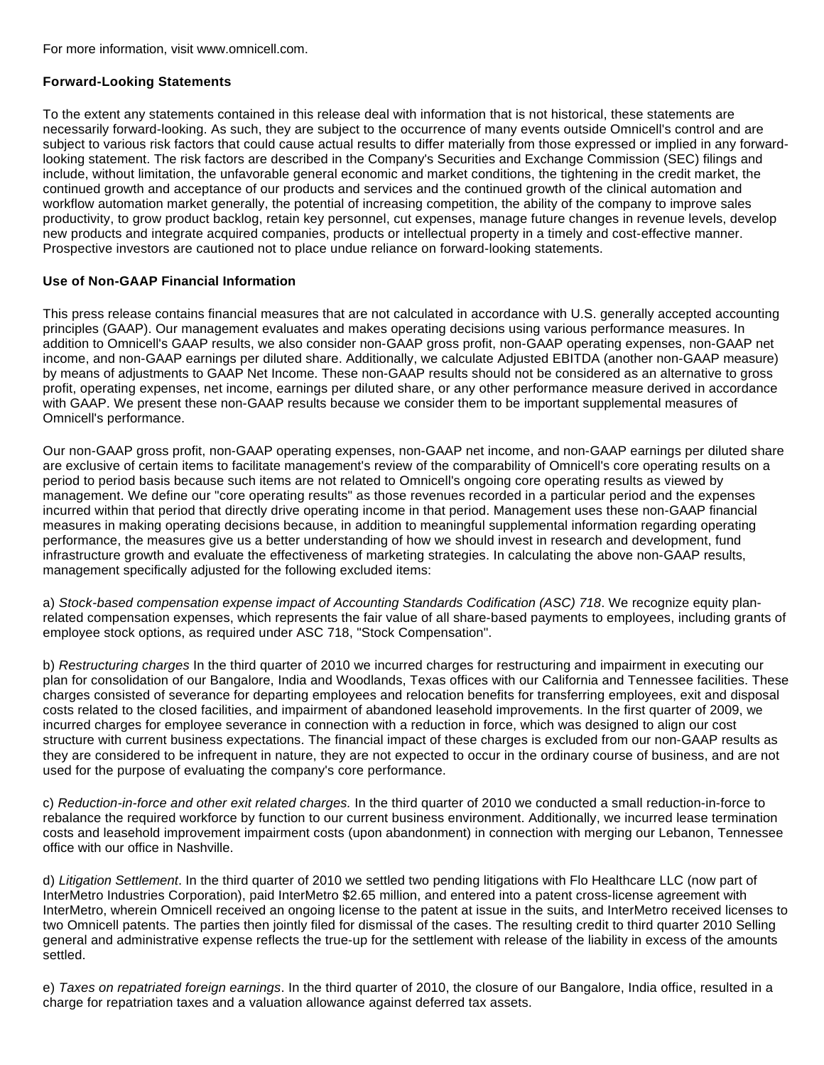For more information, visit www.omnicell.com.

# **Forward-Looking Statements**

To the extent any statements contained in this release deal with information that is not historical, these statements are necessarily forward-looking. As such, they are subject to the occurrence of many events outside Omnicell's control and are subject to various risk factors that could cause actual results to differ materially from those expressed or implied in any forwardlooking statement. The risk factors are described in the Company's Securities and Exchange Commission (SEC) filings and include, without limitation, the unfavorable general economic and market conditions, the tightening in the credit market, the continued growth and acceptance of our products and services and the continued growth of the clinical automation and workflow automation market generally, the potential of increasing competition, the ability of the company to improve sales productivity, to grow product backlog, retain key personnel, cut expenses, manage future changes in revenue levels, develop new products and integrate acquired companies, products or intellectual property in a timely and cost-effective manner. Prospective investors are cautioned not to place undue reliance on forward-looking statements.

# **Use of Non-GAAP Financial Information**

This press release contains financial measures that are not calculated in accordance with U.S. generally accepted accounting principles (GAAP). Our management evaluates and makes operating decisions using various performance measures. In addition to Omnicell's GAAP results, we also consider non-GAAP gross profit, non-GAAP operating expenses, non-GAAP net income, and non-GAAP earnings per diluted share. Additionally, we calculate Adjusted EBITDA (another non-GAAP measure) by means of adjustments to GAAP Net Income. These non-GAAP results should not be considered as an alternative to gross profit, operating expenses, net income, earnings per diluted share, or any other performance measure derived in accordance with GAAP. We present these non-GAAP results because we consider them to be important supplemental measures of Omnicell's performance.

Our non-GAAP gross profit, non-GAAP operating expenses, non-GAAP net income, and non-GAAP earnings per diluted share are exclusive of certain items to facilitate management's review of the comparability of Omnicell's core operating results on a period to period basis because such items are not related to Omnicell's ongoing core operating results as viewed by management. We define our "core operating results" as those revenues recorded in a particular period and the expenses incurred within that period that directly drive operating income in that period. Management uses these non-GAAP financial measures in making operating decisions because, in addition to meaningful supplemental information regarding operating performance, the measures give us a better understanding of how we should invest in research and development, fund infrastructure growth and evaluate the effectiveness of marketing strategies. In calculating the above non-GAAP results, management specifically adjusted for the following excluded items:

a) Stock-based compensation expense impact of Accounting Standards Codification (ASC) 718. We recognize equity planrelated compensation expenses, which represents the fair value of all share-based payments to employees, including grants of employee stock options, as required under ASC 718, "Stock Compensation".

b) Restructuring charges In the third quarter of 2010 we incurred charges for restructuring and impairment in executing our plan for consolidation of our Bangalore, India and Woodlands, Texas offices with our California and Tennessee facilities. These charges consisted of severance for departing employees and relocation benefits for transferring employees, exit and disposal costs related to the closed facilities, and impairment of abandoned leasehold improvements. In the first quarter of 2009, we incurred charges for employee severance in connection with a reduction in force, which was designed to align our cost structure with current business expectations. The financial impact of these charges is excluded from our non-GAAP results as they are considered to be infrequent in nature, they are not expected to occur in the ordinary course of business, and are not used for the purpose of evaluating the company's core performance.

c) Reduction-in-force and other exit related charges. In the third quarter of 2010 we conducted a small reduction-in-force to rebalance the required workforce by function to our current business environment. Additionally, we incurred lease termination costs and leasehold improvement impairment costs (upon abandonment) in connection with merging our Lebanon, Tennessee office with our office in Nashville.

d) Litigation Settlement. In the third quarter of 2010 we settled two pending litigations with Flo Healthcare LLC (now part of InterMetro Industries Corporation), paid InterMetro \$2.65 million, and entered into a patent cross-license agreement with InterMetro, wherein Omnicell received an ongoing license to the patent at issue in the suits, and InterMetro received licenses to two Omnicell patents. The parties then jointly filed for dismissal of the cases. The resulting credit to third quarter 2010 Selling general and administrative expense reflects the true-up for the settlement with release of the liability in excess of the amounts settled.

e) Taxes on repatriated foreign earnings. In the third quarter of 2010, the closure of our Bangalore, India office, resulted in a charge for repatriation taxes and a valuation allowance against deferred tax assets.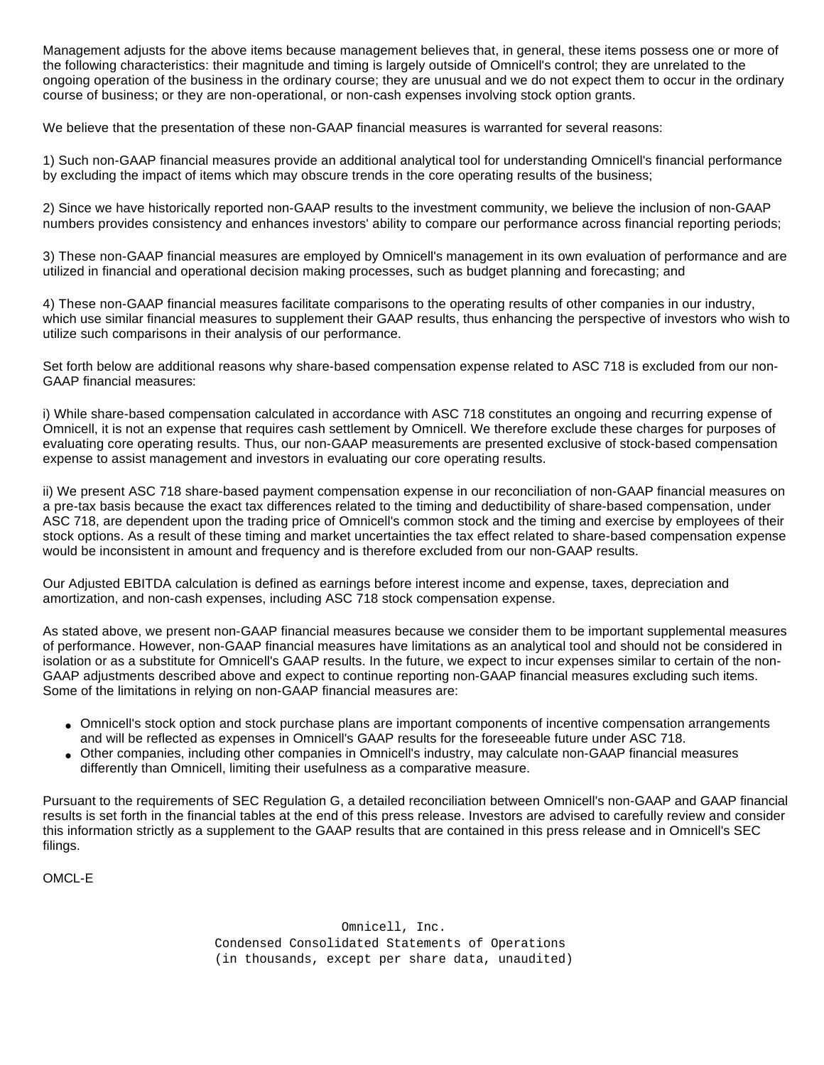Management adjusts for the above items because management believes that, in general, these items possess one or more of the following characteristics: their magnitude and timing is largely outside of Omnicell's control; they are unrelated to the ongoing operation of the business in the ordinary course; they are unusual and we do not expect them to occur in the ordinary course of business; or they are non-operational, or non-cash expenses involving stock option grants.

We believe that the presentation of these non-GAAP financial measures is warranted for several reasons:

1) Such non-GAAP financial measures provide an additional analytical tool for understanding Omnicell's financial performance by excluding the impact of items which may obscure trends in the core operating results of the business;

2) Since we have historically reported non-GAAP results to the investment community, we believe the inclusion of non-GAAP numbers provides consistency and enhances investors' ability to compare our performance across financial reporting periods;

3) These non-GAAP financial measures are employed by Omnicell's management in its own evaluation of performance and are utilized in financial and operational decision making processes, such as budget planning and forecasting; and

4) These non-GAAP financial measures facilitate comparisons to the operating results of other companies in our industry, which use similar financial measures to supplement their GAAP results, thus enhancing the perspective of investors who wish to utilize such comparisons in their analysis of our performance.

Set forth below are additional reasons why share-based compensation expense related to ASC 718 is excluded from our non-GAAP financial measures:

i) While share-based compensation calculated in accordance with ASC 718 constitutes an ongoing and recurring expense of Omnicell, it is not an expense that requires cash settlement by Omnicell. We therefore exclude these charges for purposes of evaluating core operating results. Thus, our non-GAAP measurements are presented exclusive of stock-based compensation expense to assist management and investors in evaluating our core operating results.

ii) We present ASC 718 share-based payment compensation expense in our reconciliation of non-GAAP financial measures on a pre-tax basis because the exact tax differences related to the timing and deductibility of share-based compensation, under ASC 718, are dependent upon the trading price of Omnicell's common stock and the timing and exercise by employees of their stock options. As a result of these timing and market uncertainties the tax effect related to share-based compensation expense would be inconsistent in amount and frequency and is therefore excluded from our non-GAAP results.

Our Adjusted EBITDA calculation is defined as earnings before interest income and expense, taxes, depreciation and amortization, and non-cash expenses, including ASC 718 stock compensation expense.

As stated above, we present non-GAAP financial measures because we consider them to be important supplemental measures of performance. However, non-GAAP financial measures have limitations as an analytical tool and should not be considered in isolation or as a substitute for Omnicell's GAAP results. In the future, we expect to incur expenses similar to certain of the non-GAAP adjustments described above and expect to continue reporting non-GAAP financial measures excluding such items. Some of the limitations in relying on non-GAAP financial measures are:

- Omnicell's stock option and stock purchase plans are important components of incentive compensation arrangements and will be reflected as expenses in Omnicell's GAAP results for the foreseeable future under ASC 718.
- Other companies, including other companies in Omnicell's industry, may calculate non-GAAP financial measures differently than Omnicell, limiting their usefulness as a comparative measure.

Pursuant to the requirements of SEC Regulation G, a detailed reconciliation between Omnicell's non-GAAP and GAAP financial results is set forth in the financial tables at the end of this press release. Investors are advised to carefully review and consider this information strictly as a supplement to the GAAP results that are contained in this press release and in Omnicell's SEC filings.

OMCL-E

 Omnicell, Inc. Condensed Consolidated Statements of Operations (in thousands, except per share data, unaudited)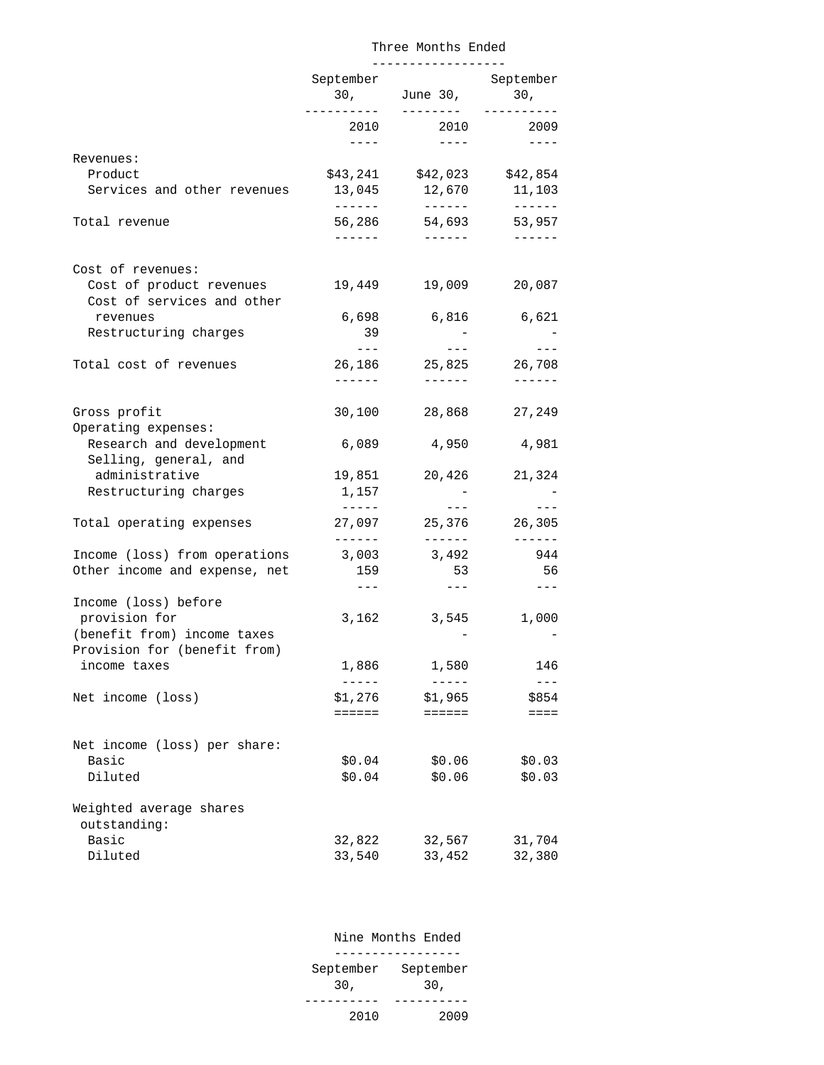#### Three Months Ended

|                                         |                         | --------------                                                                                                                                                                                                                                                                                                                                                                               |                         |
|-----------------------------------------|-------------------------|----------------------------------------------------------------------------------------------------------------------------------------------------------------------------------------------------------------------------------------------------------------------------------------------------------------------------------------------------------------------------------------------|-------------------------|
|                                         | September<br>---------- | 30, June 30, 30,<br>-----------                                                                                                                                                                                                                                                                                                                                                              | September<br>---------- |
|                                         | 2010                    | 2010 2009                                                                                                                                                                                                                                                                                                                                                                                    |                         |
|                                         | $- - - -$               | $\frac{1}{2} \frac{1}{2} \frac{1}{2} \frac{1}{2} \frac{1}{2} \frac{1}{2} \frac{1}{2} \frac{1}{2} \frac{1}{2} \frac{1}{2} \frac{1}{2} \frac{1}{2} \frac{1}{2} \frac{1}{2} \frac{1}{2} \frac{1}{2} \frac{1}{2} \frac{1}{2} \frac{1}{2} \frac{1}{2} \frac{1}{2} \frac{1}{2} \frac{1}{2} \frac{1}{2} \frac{1}{2} \frac{1}{2} \frac{1}{2} \frac{1}{2} \frac{1}{2} \frac{1}{2} \frac{1}{2} \frac{$ | $- - - -$               |
| Revenues:<br>Product                    |                         | $$43,241$ $$42,023$ $$42,854$                                                                                                                                                                                                                                                                                                                                                                |                         |
| Services and other revenues             |                         | 13,045 12,670                                                                                                                                                                                                                                                                                                                                                                                | 11,103                  |
|                                         |                         | -------                                                                                                                                                                                                                                                                                                                                                                                      |                         |
| Total revenue                           | $- - - - - -$           | 56,286 54,693                                                                                                                                                                                                                                                                                                                                                                                | 53,957<br>$- - - - - -$ |
| Cost of revenues:                       |                         |                                                                                                                                                                                                                                                                                                                                                                                              |                         |
| Cost of product revenues                | 19,449                  | 19,009                                                                                                                                                                                                                                                                                                                                                                                       | 20,087                  |
| Cost of services and other              |                         |                                                                                                                                                                                                                                                                                                                                                                                              |                         |
| revenues                                | 6,698                   | 6,816                                                                                                                                                                                                                                                                                                                                                                                        | 6,621                   |
| Restructuring charges                   | 39                      |                                                                                                                                                                                                                                                                                                                                                                                              |                         |
|                                         | $---$                   | $- - - -$                                                                                                                                                                                                                                                                                                                                                                                    | $---$                   |
| Total cost of revenues                  | 26,186                  | 25,825                                                                                                                                                                                                                                                                                                                                                                                       | 26,708                  |
|                                         | ------                  | ------                                                                                                                                                                                                                                                                                                                                                                                       | ------                  |
|                                         |                         |                                                                                                                                                                                                                                                                                                                                                                                              |                         |
| Gross profit                            | 30,100                  | 28,868                                                                                                                                                                                                                                                                                                                                                                                       | 27,249                  |
| Operating expenses:                     |                         |                                                                                                                                                                                                                                                                                                                                                                                              |                         |
| Research and development                | 6,089                   | 4,950                                                                                                                                                                                                                                                                                                                                                                                        | 4,981                   |
| Selling, general, and                   |                         |                                                                                                                                                                                                                                                                                                                                                                                              |                         |
| administrative                          | 19,851                  | 20,426                                                                                                                                                                                                                                                                                                                                                                                       | 21,324                  |
| Restructuring charges                   | 1,157                   |                                                                                                                                                                                                                                                                                                                                                                                              |                         |
|                                         |                         | $\sim$ $   -$                                                                                                                                                                                                                                                                                                                                                                                | $\qquad \qquad - -$     |
| Total operating expenses                | 27,097<br>-------       | 25,376<br>------                                                                                                                                                                                                                                                                                                                                                                             | 26,305<br>$- - - - - -$ |
| Income (loss) from operations           | 3,003                   | 3,492                                                                                                                                                                                                                                                                                                                                                                                        | 944                     |
| Other income and expense, net           | 159                     | 53                                                                                                                                                                                                                                                                                                                                                                                           | - 56                    |
|                                         | $\qquad \qquad - -$     | $---$                                                                                                                                                                                                                                                                                                                                                                                        | $\qquad \qquad - -$     |
| Income (loss) before                    |                         |                                                                                                                                                                                                                                                                                                                                                                                              |                         |
| provision for                           | 3,162                   | 3,545                                                                                                                                                                                                                                                                                                                                                                                        | 1,000                   |
| (benefit from) income taxes             |                         |                                                                                                                                                                                                                                                                                                                                                                                              |                         |
| Provision for (benefit from)            |                         |                                                                                                                                                                                                                                                                                                                                                                                              |                         |
| income taxes                            | 1,886                   | 1,580                                                                                                                                                                                                                                                                                                                                                                                        | 146                     |
|                                         | $- - - - -$             | $- - - - -$                                                                                                                                                                                                                                                                                                                                                                                  |                         |
| Net income (loss)                       | \$1,276                 | \$1,965                                                                                                                                                                                                                                                                                                                                                                                      | \$854                   |
|                                         | $======$                | ======                                                                                                                                                                                                                                                                                                                                                                                       | $=$ $=$ $=$ $=$         |
| Net income (loss) per share:            |                         |                                                                                                                                                                                                                                                                                                                                                                                              |                         |
| Basic                                   | \$0.04                  | \$0.06                                                                                                                                                                                                                                                                                                                                                                                       | \$0.03                  |
| Diluted                                 | \$0.04                  | \$0.06                                                                                                                                                                                                                                                                                                                                                                                       | \$0.03                  |
| Weighted average shares<br>outstanding: |                         |                                                                                                                                                                                                                                                                                                                                                                                              |                         |
| Basic                                   | 32,822                  | 32,567                                                                                                                                                                                                                                                                                                                                                                                       | 31,704                  |
| Diluted                                 | 33,540                  | 33,452                                                                                                                                                                                                                                                                                                                                                                                       | 32,380                  |
|                                         |                         |                                                                                                                                                                                                                                                                                                                                                                                              |                         |

 Nine Months Ended ----------------- September September  $30,$   $30,$  ---------- ---------- 2010 2009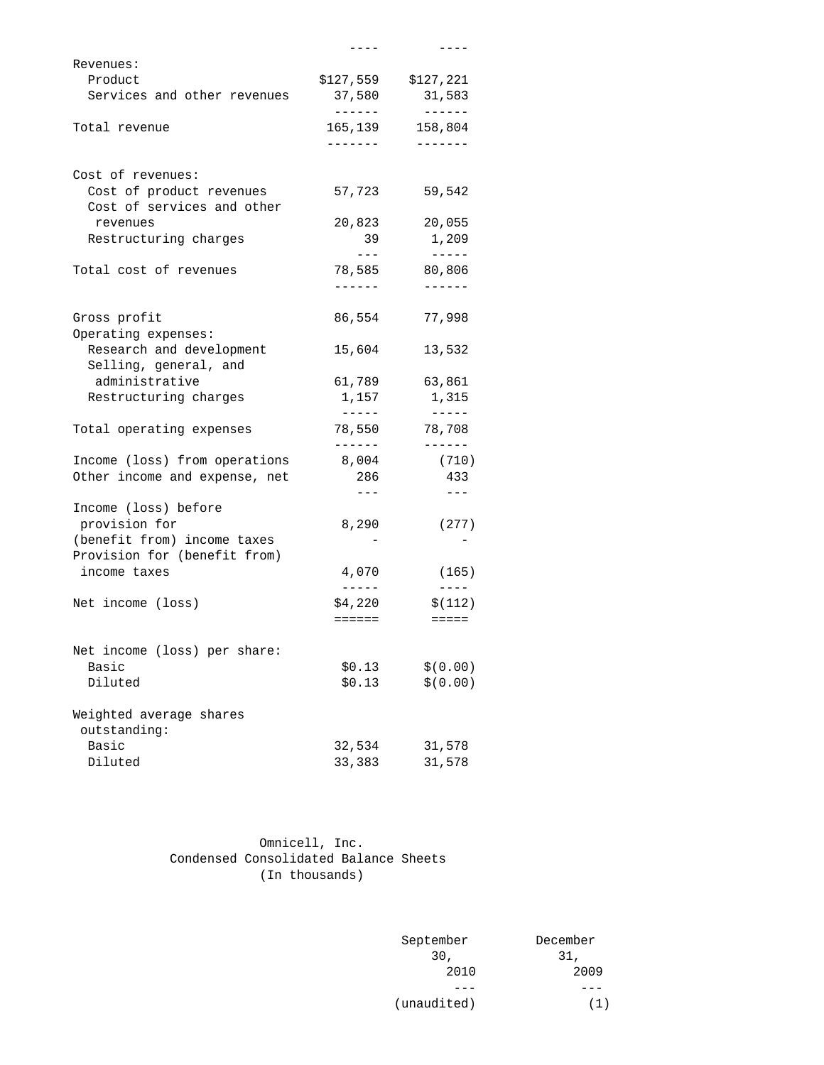|                                                        | - - - -               | - - - -                 |
|--------------------------------------------------------|-----------------------|-------------------------|
| Revenues:                                              |                       |                         |
| Product                                                | \$127,559             | \$127,221               |
| Services and other revenues                            | 37,580<br>------      | 31,583<br>$- - - - - -$ |
| Total revenue                                          | 165,139               | 158,804                 |
|                                                        |                       | -------                 |
| Cost of revenues:                                      |                       |                         |
| Cost of product revenues<br>Cost of services and other | 57,723                | 59,542                  |
| revenues                                               | 20,823                | 20,055                  |
| Restructuring charges                                  | 39                    | 1,209<br>$- - - - -$    |
| Total cost of revenues                                 | $---$<br>78,585       | 80,806                  |
|                                                        | ------                | ------                  |
| Gross profit                                           | 86,554                | 77,998                  |
| Operating expenses:                                    |                       |                         |
| Research and development<br>Selling, general, and      | 15,604                | 13,532                  |
| administrative                                         | 61,789                | 63,861                  |
| Restructuring charges                                  | 1,157                 | 1,315                   |
| Total operating expenses                               | $- - - - -$<br>78,550 | $- - - - - -$<br>78,708 |
|                                                        | ------                | -------                 |
| Income (loss) from operations                          | 8,004                 | (710)                   |
| Other income and expense, net                          | 286<br>$---$          | 433<br>$---$            |
| Income (loss) before                                   |                       |                         |
| provision for                                          | 8,290                 | (277)                   |
| (benefit from) income taxes                            |                       |                         |
| Provision for (benefit from)<br>income taxes           | 4,070                 | (165)                   |
|                                                        | $- - - - -$           | $- - - - -$             |
| Net income (loss)                                      | \$4,220               | \$(112)                 |
|                                                        | ======                | $=====$                 |
| Net income (loss) per share:                           |                       |                         |
| Basic                                                  | \$0.13                | \$ (0.00)               |
| Diluted                                                | \$0.13                | \$(0.00)                |
| Weighted average shares                                |                       |                         |
| outstanding:                                           |                       |                         |
| Basic                                                  | 32,534                | 31,578                  |
| Diluted                                                | 33,383                | 31,578                  |

# Omnicell, Inc. Condensed Consolidated Balance Sheets (In thousands)

| December    | September   |
|-------------|-------------|
| 31,         | 30,         |
| 2009        | 2010        |
| ---         | _ _ _       |
| <u>، به</u> | (unaudited) |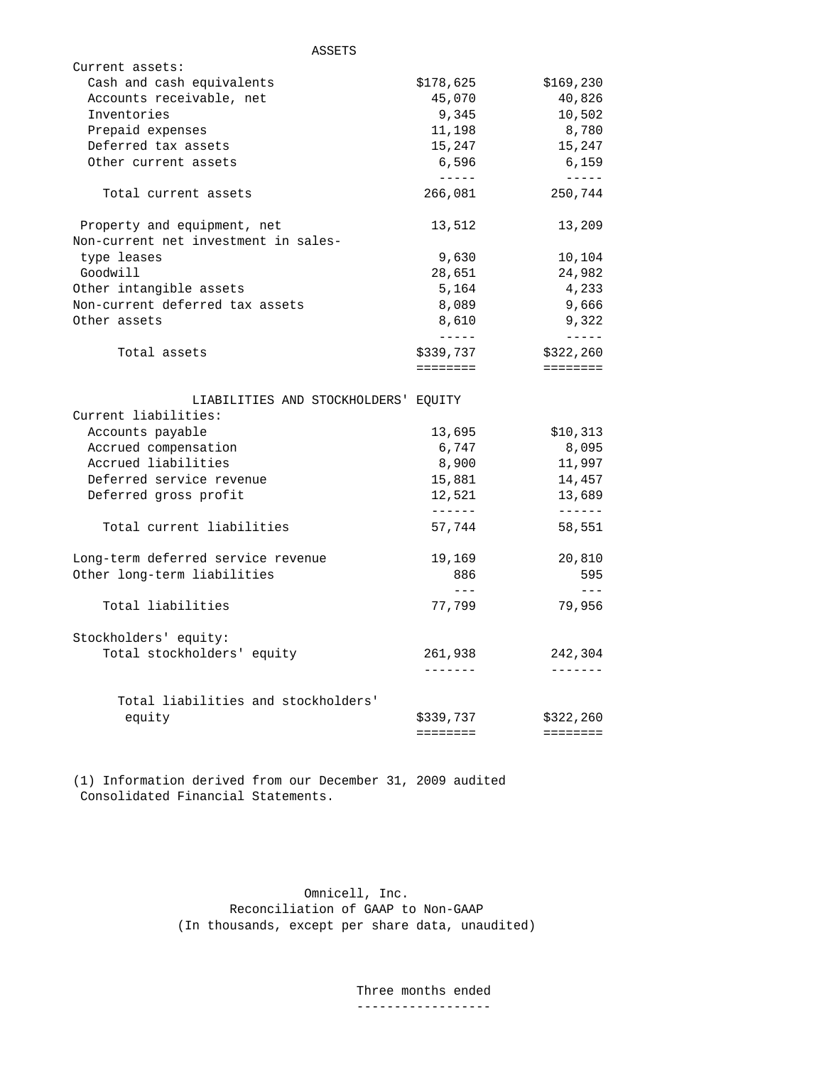|  | ASSETS |
|--|--------|
|--|--------|

| Current assets:                      |                                                                                                                                                                                                                                                                                                                                                                                                           |                            |
|--------------------------------------|-----------------------------------------------------------------------------------------------------------------------------------------------------------------------------------------------------------------------------------------------------------------------------------------------------------------------------------------------------------------------------------------------------------|----------------------------|
| Cash and cash equivalents            | \$178,625                                                                                                                                                                                                                                                                                                                                                                                                 | \$169,230                  |
| Accounts receivable, net             | 45,070                                                                                                                                                                                                                                                                                                                                                                                                    | 40,826                     |
| Inventories                          | 9,345                                                                                                                                                                                                                                                                                                                                                                                                     | 10,502                     |
| Prepaid expenses                     | 11,198                                                                                                                                                                                                                                                                                                                                                                                                    | 8,780                      |
| Deferred tax assets                  | 15,247                                                                                                                                                                                                                                                                                                                                                                                                    | 15,247                     |
| Other current assets                 | 6,596                                                                                                                                                                                                                                                                                                                                                                                                     | 6,159                      |
| Total current assets                 | $- - - - - -$<br>266,081                                                                                                                                                                                                                                                                                                                                                                                  | $- - - - -$<br>250,744     |
| Property and equipment, net          | 13,512                                                                                                                                                                                                                                                                                                                                                                                                    | 13,209                     |
| Non-current net investment in sales- |                                                                                                                                                                                                                                                                                                                                                                                                           |                            |
| type leases                          | 9,630                                                                                                                                                                                                                                                                                                                                                                                                     | 10,104                     |
| Goodwill                             | 28,651                                                                                                                                                                                                                                                                                                                                                                                                    | 24,982                     |
| Other intangible assets              | 5,164                                                                                                                                                                                                                                                                                                                                                                                                     | 4,233                      |
| Non-current deferred tax assets      | 8,089                                                                                                                                                                                                                                                                                                                                                                                                     | 9,666                      |
| Other assets                         | 8,610                                                                                                                                                                                                                                                                                                                                                                                                     | 9,322                      |
| Total assets                         | $\frac{1}{2} \frac{1}{2} \frac{1}{2} \frac{1}{2} \frac{1}{2} \frac{1}{2} \frac{1}{2} \frac{1}{2} \frac{1}{2} \frac{1}{2} \frac{1}{2} \frac{1}{2} \frac{1}{2} \frac{1}{2} \frac{1}{2} \frac{1}{2} \frac{1}{2} \frac{1}{2} \frac{1}{2} \frac{1}{2} \frac{1}{2} \frac{1}{2} \frac{1}{2} \frac{1}{2} \frac{1}{2} \frac{1}{2} \frac{1}{2} \frac{1}{2} \frac{1}{2} \frac{1}{2} \frac{1}{2} \frac{$<br>\$339,737 | $\frac{1}{2}$<br>\$322,260 |
|                                      | <b>EBBEBBBB</b>                                                                                                                                                                                                                                                                                                                                                                                           | $=$ = = = = = = =          |
| LIABILITIES AND STOCKHOLDERS' EQUITY |                                                                                                                                                                                                                                                                                                                                                                                                           |                            |
| Current liabilities:                 |                                                                                                                                                                                                                                                                                                                                                                                                           |                            |
| Accounts payable                     | 13,695                                                                                                                                                                                                                                                                                                                                                                                                    | \$10,313                   |
| Accrued compensation                 | 6,747                                                                                                                                                                                                                                                                                                                                                                                                     | 8,095                      |
| Accrued liabilities                  | 8,900                                                                                                                                                                                                                                                                                                                                                                                                     | 11,997                     |
| Deferred service revenue             | 15,881                                                                                                                                                                                                                                                                                                                                                                                                    | 14,457                     |
| Deferred gross profit                | 12,521                                                                                                                                                                                                                                                                                                                                                                                                    | 13,689                     |
| Total current liabilities            | $- - - - - -$<br>57,744                                                                                                                                                                                                                                                                                                                                                                                   | $- - - - - -$<br>58,551    |
| Long-term deferred service revenue   | 19,169                                                                                                                                                                                                                                                                                                                                                                                                    | 20,810                     |
| Other long-term liabilities          | 886                                                                                                                                                                                                                                                                                                                                                                                                       | 595                        |
| Total liabilities                    | $---$<br>77,799                                                                                                                                                                                                                                                                                                                                                                                           | $- - -$<br>79,956          |
| Stockholders' equity:                |                                                                                                                                                                                                                                                                                                                                                                                                           |                            |
| Total stockholders' equity           | 261,938                                                                                                                                                                                                                                                                                                                                                                                                   | 242,304                    |
|                                      | --------                                                                                                                                                                                                                                                                                                                                                                                                  | -------                    |
| Total liabilities and stockholders'  |                                                                                                                                                                                                                                                                                                                                                                                                           |                            |
| equity                               | \$339,737                                                                                                                                                                                                                                                                                                                                                                                                 | \$322,260                  |
|                                      | ========                                                                                                                                                                                                                                                                                                                                                                                                  | $=$ = = = = = = =          |

 (1) Information derived from our December 31, 2009 audited Consolidated Financial Statements.

> Omnicell, Inc. Reconciliation of GAAP to Non-GAAP (In thousands, except per share data, unaudited)

> > Three months ended ------------------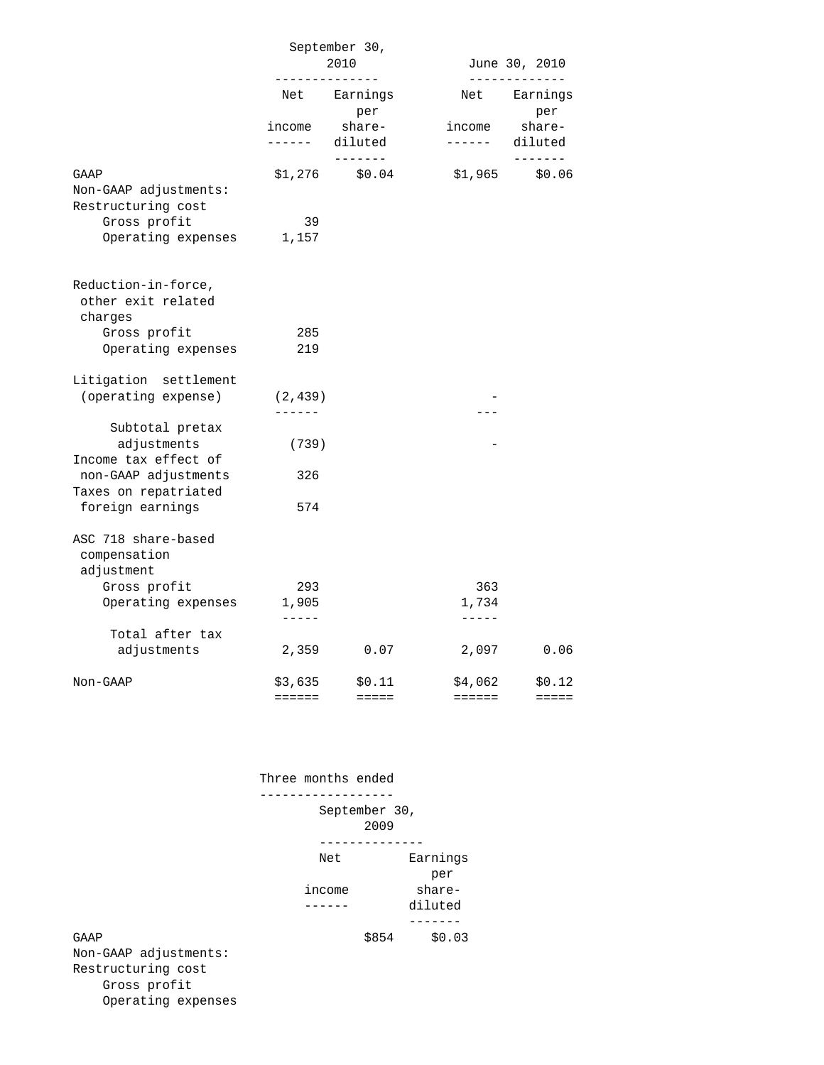|                                                   |                      | September 30,<br>2010<br>------------ |                      | June 30, 2010<br>------------- |
|---------------------------------------------------|----------------------|---------------------------------------|----------------------|--------------------------------|
|                                                   |                      | Net Earnings<br>per                   |                      | Net Earnings<br>per            |
|                                                   | _______              | income share-<br>diluted              | -------              | income share-<br>diluted       |
| GAAP                                              |                      | --------<br>$$1,276$ $$0.04$          |                      | _______<br>$$1,965$ $$0.06$    |
| Non-GAAP adjustments:<br>Restructuring cost       |                      |                                       |                      |                                |
| Gross profit                                      | 39                   |                                       |                      |                                |
| Operating expenses                                | 1,157                |                                       |                      |                                |
| Reduction-in-force,                               |                      |                                       |                      |                                |
| other exit related<br>charges                     |                      |                                       |                      |                                |
| Gross profit                                      | 285                  |                                       |                      |                                |
| Operating expenses                                | 219                  |                                       |                      |                                |
| Litigation settlement                             |                      |                                       |                      |                                |
| (operating expense)                               | (2, 439)<br>------   |                                       |                      |                                |
| Subtotal pretax                                   |                      |                                       |                      |                                |
| adjustments<br>Income tax effect of               | (739)                |                                       |                      |                                |
| non-GAAP adjustments<br>Taxes on repatriated      | 326                  |                                       |                      |                                |
| foreign earnings                                  | 574                  |                                       |                      |                                |
| ASC 718 share-based<br>compensation<br>adjustment |                      |                                       |                      |                                |
| Gross profit                                      | 293                  |                                       | 363                  |                                |
| Operating expenses                                | 1,905<br>$- - - - -$ |                                       | 1,734<br>$- - - - -$ |                                |
| Total after tax                                   |                      |                                       |                      |                                |
| adjustments                                       | 2,359                | 0.07                                  | 2,097                | 0.06                           |
| Non-GAAP                                          | \$3,635              | \$0.11                                | \$4,062              | \$0.12                         |
|                                                   | ======               | $=$ $=$ $=$ $=$                       | ======               | =====                          |

|                                                                                                                                                                                                                                | Three months ended    |                 |
|--------------------------------------------------------------------------------------------------------------------------------------------------------------------------------------------------------------------------------|-----------------------|-----------------|
|                                                                                                                                                                                                                                | September 30,<br>2009 |                 |
|                                                                                                                                                                                                                                | Net                   | Earnings<br>per |
|                                                                                                                                                                                                                                | income                | share-          |
|                                                                                                                                                                                                                                |                       | diluted         |
|                                                                                                                                                                                                                                |                       |                 |
| GAAP                                                                                                                                                                                                                           | \$854                 | \$0.03          |
| Non-GAAP adjustments:                                                                                                                                                                                                          |                       |                 |
| The second contract of the second contract of the second second second second second second second second second second second second second second second second second second second second second second second second seco |                       |                 |

 Non-GAAP adjustments: Restructuring cost Gross profit Operating expenses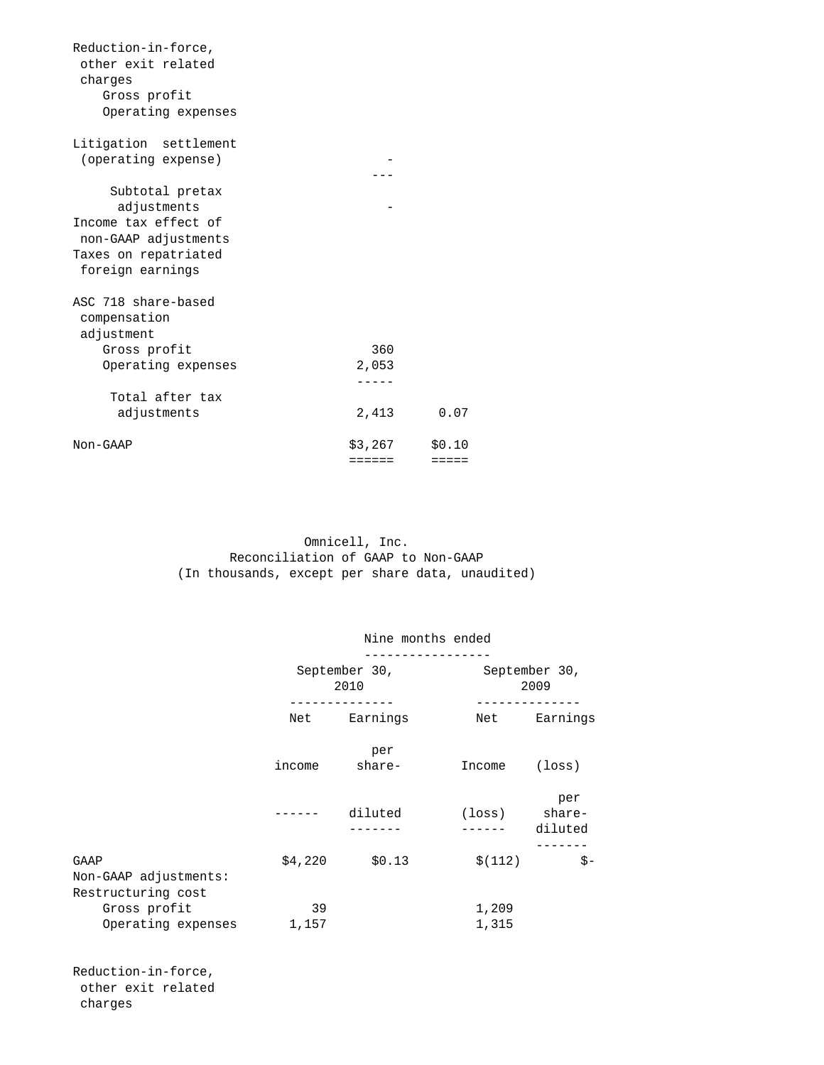| Reduction-in-force,<br>other exit related<br>charges<br>Gross profit<br>Operating expenses |         |                 |
|--------------------------------------------------------------------------------------------|---------|-----------------|
| Litigation settlement<br>(operating expense)                                               |         |                 |
|                                                                                            |         |                 |
| Subtotal pretax<br>adjustments                                                             |         |                 |
| Income tax effect of                                                                       |         |                 |
| non-GAAP adjustments                                                                       |         |                 |
| Taxes on repatriated<br>foreign earnings                                                   |         |                 |
| ASC 718 share-based                                                                        |         |                 |
| compensation<br>adjustment                                                                 |         |                 |
| Gross profit                                                                               | 360     |                 |
| Operating expenses                                                                         | 2,053   |                 |
|                                                                                            |         |                 |
| Total after tax                                                                            |         |                 |
| adjustments                                                                                | 2,413   | 0.07            |
| $Non-GARD$                                                                                 | \$3,267 | \$0.10          |
|                                                                                            | ======  | $=$ $=$ $=$ $=$ |

 Omnicell, Inc. Reconciliation of GAAP to Non-GAAP (In thousands, except per share data, unaudited)

|                                                     | Nine months ended |                            |                |                          |
|-----------------------------------------------------|-------------------|----------------------------|----------------|--------------------------|
|                                                     |                   | September 30,<br>2010      |                | September 30,<br>2009    |
|                                                     |                   | ----------<br>Net Earnings | Net            | Earnings                 |
|                                                     | income            | per<br>share-              | Income         | $(\texttt{loss})$        |
|                                                     |                   | diluted                    | (loss)         | per<br>share-<br>diluted |
| GAAP<br>Non-GAAP adjustments:<br>Restructuring cost | \$4,220           | \$0.13                     | \$ (112)       | $\zeta -$                |
| Gross profit<br>Operating expenses                  | 39<br>1,157       |                            | 1,209<br>1,315 |                          |

 Reduction-in-force, other exit related charges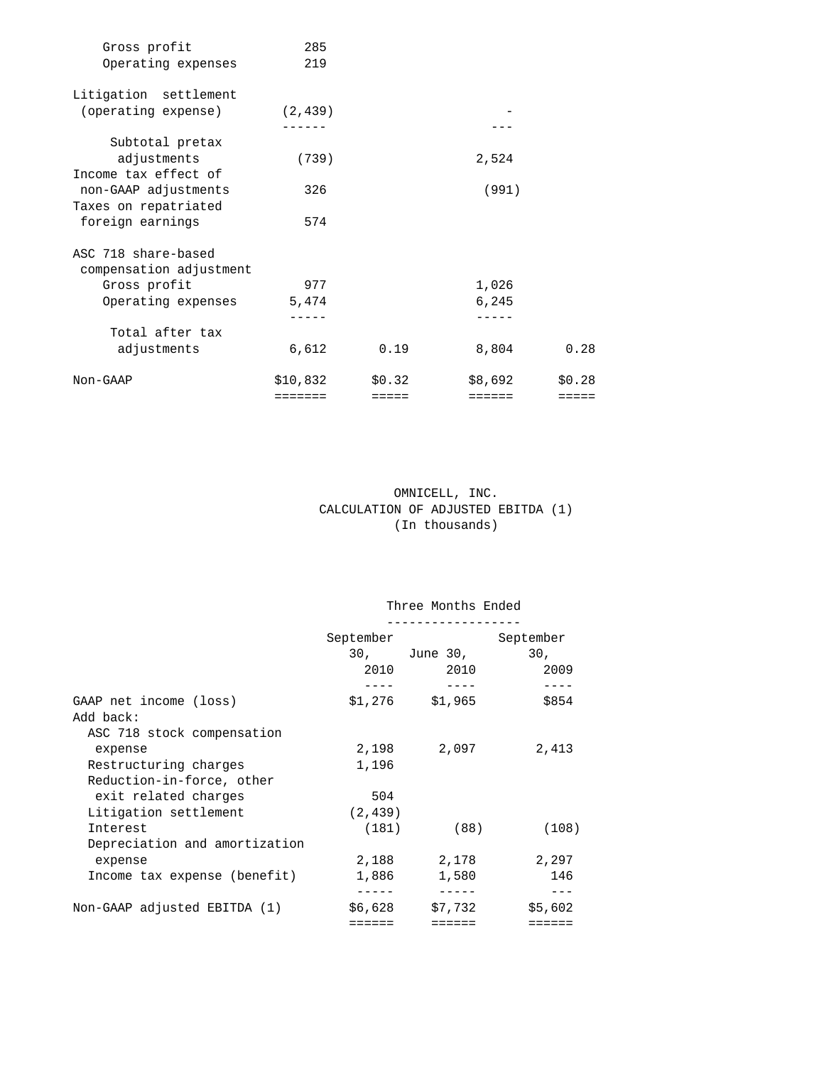| Gross profit            | 285      |                 |                     |                 |
|-------------------------|----------|-----------------|---------------------|-----------------|
| Operating expenses      | 219      |                 |                     |                 |
| Litigation settlement   |          |                 |                     |                 |
| (operating expense)     | (2, 439) |                 |                     |                 |
|                         |          |                 |                     |                 |
| Subtotal pretax         |          |                 |                     |                 |
| adjustments             | (739)    |                 | 2,524               |                 |
| Income tax effect of    |          |                 |                     |                 |
| non-GAAP adjustments    | 326      |                 | (991)               |                 |
| Taxes on repatriated    |          |                 |                     |                 |
| foreign earnings        | 574      |                 |                     |                 |
| ASC 718 share-based     |          |                 |                     |                 |
| compensation adjustment |          |                 |                     |                 |
| Gross profit            | 977      |                 | 1,026               |                 |
| Operating expenses      | 5,474    |                 | 6,245               |                 |
|                         |          |                 |                     |                 |
| Total after tax         |          |                 |                     |                 |
| adjustments             | 6,612    | 0.19            | 8,804               | 0.28            |
|                         |          |                 |                     |                 |
| Non-GAAP                | \$10,832 | \$0.32          | \$8,692             | \$0.28          |
|                         | =======  | $=$ $=$ $=$ $=$ | $=$ $=$ $=$ $=$ $=$ | $=$ $=$ $=$ $=$ |

 OMNICELL, INC. CALCULATION OF ADJUSTED EBITDA (1) (In thousands)

|                               |          | Three Months Ended                               |             |
|-------------------------------|----------|--------------------------------------------------|-------------|
|                               |          | September September<br>30, June 30,<br>2010 2010 | 30,<br>2009 |
| GAAP net income (loss)        |          | $$1,276$ $$1,965$                                | \$854       |
| Add back:                     |          |                                                  |             |
| ASC 718 stock compensation    |          |                                                  |             |
| expense                       |          | 2,198 2,097                                      | 2,413       |
| Restructuring charges         | 1,196    |                                                  |             |
| Reduction-in-force, other     |          |                                                  |             |
| exit related charges          | 504      |                                                  |             |
| Litigation settlement         | (2, 439) |                                                  |             |
| Interest                      |          | $(181)$ (88)                                     | (108)       |
| Depreciation and amortization |          |                                                  |             |
| expense                       |          | 2,188 2,178                                      | 2,297       |
| Income tax expense (benefit)  |          | 1,886 1,580                                      | 146         |
|                               |          |                                                  | $- - -$     |
| Non-GAAP adjusted EBITDA (1)  | \$6,628  | \$7,732                                          | \$5,602     |
|                               | ======   | $=$ $=$ $=$ $=$ $=$                              | ======      |